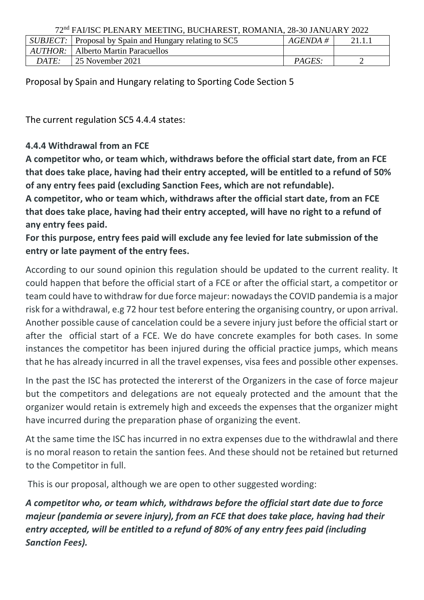72nd FAI/ISC PLENARY MEETING, BUCHAREST, ROMANIA, 28-30 JANUARY 2022

|              | SUBJECT: Proposal by Spain and Hungary relating to SC5 | $AGENDA \#$ | 21.1.1 |
|--------------|--------------------------------------------------------|-------------|--------|
|              | <i>AUTHOR</i> : Alberto Martin Paracuellos             |             |        |
| <i>DATE:</i> | 25 November 2021                                       | PAGES:      |        |

Proposal by Spain and Hungary relating to Sporting Code Section 5

The current regulation SC5 4.4.4 states:

## **4.4.4 Withdrawal from an FCE**

**A competitor who, or team which, withdraws before the official start date, from an FCE that does take place, having had their entry accepted, will be entitled to a refund of 50% of any entry fees paid (excluding Sanction Fees, which are not refundable).**

**A competitor, who or team which, withdraws after the official start date, from an FCE that does take place, having had their entry accepted, will have no right to a refund of any entry fees paid.**

**For this purpose, entry fees paid will exclude any fee levied for late submission of the entry or late payment of the entry fees.**

According to our sound opinion this regulation should be updated to the current reality. It could happen that before the official start of a FCE or after the official start, a competitor or team could have to withdraw for due force majeur: nowadays the COVID pandemia is a major risk for a withdrawal, e.g 72 hour test before entering the organising country, or upon arrival. Another possible cause of cancelation could be a severe injury just before the official start or after the official start of a FCE. We do have concrete examples for both cases. In some instances the competitor has been injured during the official practice jumps, which means that he has already incurred in all the travel expenses, visa fees and possible other expenses.

In the past the ISC has protected the intererst of the Organizers in the case of force majeur but the competitors and delegations are not equealy protected and the amount that the organizer would retain is extremely high and exceeds the expenses that the organizer might have incurred during the preparation phase of organizing the event.

At the same time the ISC has incurred in no extra expenses due to the withdrawlal and there is no moral reason to retain the santion fees. And these should not be retained but returned to the Competitor in full.

This is our proposal, although we are open to other suggested wording:

*A competitor who, or team which, withdraws before the official start date due to force majeur (pandemia or severe injury), from an FCE that does take place, having had their entry accepted, will be entitled to a refund of 80% of any entry fees paid (including Sanction Fees).*